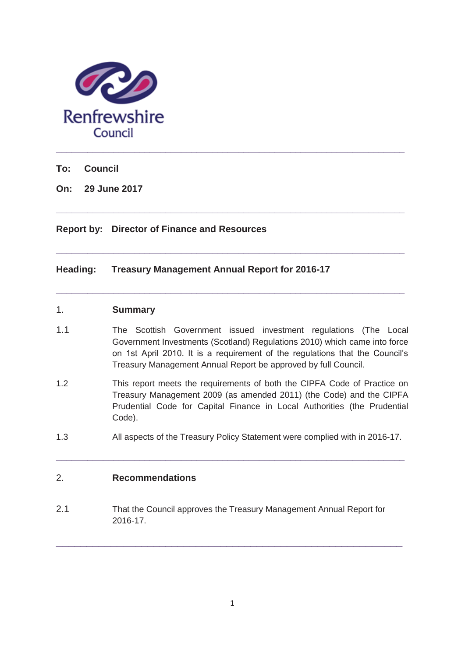

**To: Council**

**On: 29 June 2017** 

# **Report by: Director of Finance and Resources**

# **Heading: Treasury Management Annual Report for 2016-17**

## 1. **Summary**

1.1 The Scottish Government issued investment regulations (The Local Government Investments (Scotland) Regulations 2010) which came into force on 1st April 2010. It is a requirement of the regulations that the Council's Treasury Management Annual Report be approved by full Council.

**\_\_\_\_\_\_\_\_\_\_\_\_\_\_\_\_\_\_\_\_\_\_\_\_\_\_\_\_\_\_\_\_\_\_\_\_\_\_\_\_\_\_\_\_\_\_\_\_\_\_\_\_\_\_\_\_\_\_\_\_\_\_\_\_\_\_\_** 

**\_\_\_\_\_\_\_\_\_\_\_\_\_\_\_\_\_\_\_\_\_\_\_\_\_\_\_\_\_\_\_\_\_\_\_\_\_\_\_\_\_\_\_\_\_\_\_\_\_\_\_\_\_\_\_\_\_\_\_\_\_\_\_\_\_\_\_** 

**\_\_\_\_\_\_\_\_\_\_\_\_\_\_\_\_\_\_\_\_\_\_\_\_\_\_\_\_\_\_\_\_\_\_\_\_\_\_\_\_\_\_\_\_\_\_\_\_\_\_\_\_\_\_\_\_\_\_\_\_\_\_\_\_\_\_\_** 

- 1.2 This report meets the requirements of both the CIPFA Code of Practice on Treasury Management 2009 (as amended 2011) (the Code) and the CIPFA Prudential Code for Capital Finance in Local Authorities (the Prudential Code).
- 1.3 All aspects of the Treasury Policy Statement were complied with in 2016-17.

**\_\_\_\_\_\_\_\_\_\_\_\_\_\_\_\_\_\_\_\_\_\_\_\_\_\_\_\_\_\_\_\_\_\_\_\_\_\_\_\_\_\_\_\_\_\_\_\_\_\_\_\_\_\_\_\_\_\_\_\_\_\_\_\_\_\_\_** 

# 2. **Recommendations**

2.1 That the Council approves the Treasury Management Annual Report for 2016-17.

\_\_\_\_\_\_\_\_\_\_\_\_\_\_\_\_\_\_\_\_\_\_\_\_\_\_\_\_\_\_\_\_\_\_\_\_\_\_\_\_\_\_\_\_\_\_\_\_\_\_\_\_\_\_\_\_\_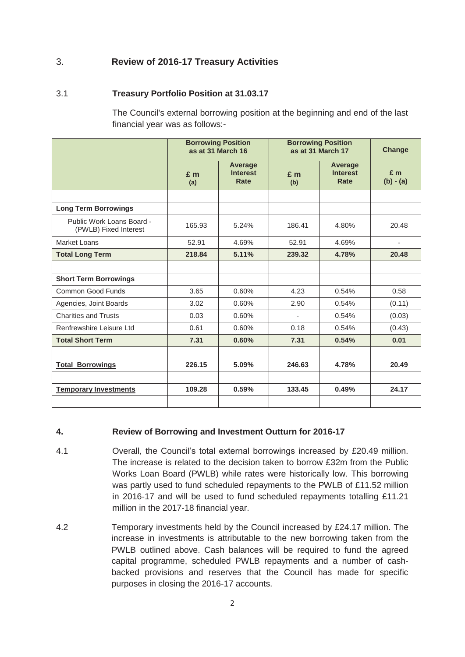# 3. **Review of 2016-17 Treasury Activities**

# 3.1 **Treasury Portfolio Position at 31.03.17**

The Council's external borrowing position at the beginning and end of the last financial year was as follows:-

|                                                    | <b>Borrowing Position</b><br>as at 31 March 16 |                                           | <b>Borrowing Position</b><br>as at 31 March 17 |                                    | Change               |
|----------------------------------------------------|------------------------------------------------|-------------------------------------------|------------------------------------------------|------------------------------------|----------------------|
|                                                    | $E$ m<br>(a)                                   | Average<br><b>Interest</b><br><b>Rate</b> | $E$ m<br>(b)                                   | Average<br><b>Interest</b><br>Rate | $E$ m<br>$(b) - (a)$ |
|                                                    |                                                |                                           |                                                |                                    |                      |
| <b>Long Term Borrowings</b>                        |                                                |                                           |                                                |                                    |                      |
| Public Work Loans Board -<br>(PWLB) Fixed Interest | 165.93                                         | 5.24%                                     | 186.41                                         | 4.80%                              | 20.48                |
| Market Loans                                       | 52.91                                          | 4.69%                                     | 52.91                                          | 4.69%                              | ٠                    |
| <b>Total Long Term</b>                             | 218.84                                         | 5.11%                                     | 239.32                                         | 4.78%                              | 20.48                |
|                                                    |                                                |                                           |                                                |                                    |                      |
| <b>Short Term Borrowings</b>                       |                                                |                                           |                                                |                                    |                      |
| Common Good Funds                                  | 3.65                                           | 0.60%                                     | 4.23                                           | 0.54%                              | 0.58                 |
| Agencies, Joint Boards                             | 3.02                                           | 0.60%                                     | 2.90                                           | 0.54%                              | (0.11)               |
| <b>Charities and Trusts</b>                        | 0.03                                           | 0.60%                                     | $\overline{\phantom{a}}$                       | 0.54%                              | (0.03)               |
| Renfrewshire Leisure Ltd                           | 0.61                                           | 0.60%                                     | 0.18                                           | 0.54%                              | (0.43)               |
| <b>Total Short Term</b>                            | 7.31                                           | 0.60%                                     | 7.31                                           | 0.54%                              | 0.01                 |
|                                                    |                                                |                                           |                                                |                                    |                      |
| <b>Total Borrowings</b>                            | 226.15                                         | 5.09%                                     | 246.63                                         | 4.78%                              | 20.49                |
|                                                    |                                                |                                           |                                                |                                    |                      |
| <b>Temporary Investments</b>                       | 109.28                                         | 0.59%                                     | 133.45                                         | 0.49%                              | 24.17                |
|                                                    |                                                |                                           |                                                |                                    |                      |

## **4. Review of Borrowing and Investment Outturn for 2016-17**

- 4.1 Overall, the Council's total external borrowings increased by £20.49 million. The increase is related to the decision taken to borrow £32m from the Public Works Loan Board (PWLB) while rates were historically low. This borrowing was partly used to fund scheduled repayments to the PWLB of £11.52 million in 2016-17 and will be used to fund scheduled repayments totalling £11.21 million in the 2017-18 financial year.
- 4.2 Temporary investments held by the Council increased by £24.17 million. The increase in investments is attributable to the new borrowing taken from the PWLB outlined above. Cash balances will be required to fund the agreed capital programme, scheduled PWLB repayments and a number of cashbacked provisions and reserves that the Council has made for specific purposes in closing the 2016-17 accounts.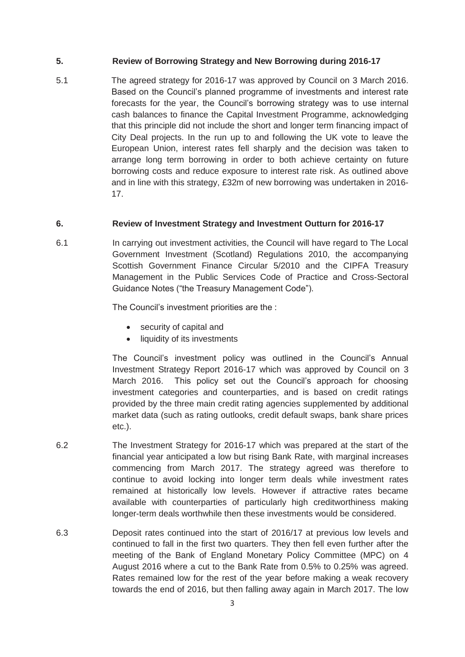## **5. Review of Borrowing Strategy and New Borrowing during 2016-17**

5.1 The agreed strategy for 2016-17 was approved by Council on 3 March 2016. Based on the Council's planned programme of investments and interest rate forecasts for the year, the Council's borrowing strategy was to use internal cash balances to finance the Capital Investment Programme, acknowledging that this principle did not include the short and longer term financing impact of City Deal projects. In the run up to and following the UK vote to leave the European Union, interest rates fell sharply and the decision was taken to arrange long term borrowing in order to both achieve certainty on future borrowing costs and reduce exposure to interest rate risk. As outlined above and in line with this strategy, £32m of new borrowing was undertaken in 2016- 17.

## **6. Review of Investment Strategy and Investment Outturn for 2016-17**

6.1 In carrying out investment activities, the Council will have regard to The Local Government Investment (Scotland) Regulations 2010, the accompanying Scottish Government Finance Circular 5/2010 and the CIPFA Treasury Management in the Public Services Code of Practice and Cross-Sectoral Guidance Notes ("the Treasury Management Code").

The Council's investment priorities are the :

- security of capital and
- liquidity of its investments

The Council's investment policy was outlined in the Council's Annual Investment Strategy Report 2016-17 which was approved by Council on 3 March 2016. This policy set out the Council's approach for choosing investment categories and counterparties, and is based on credit ratings provided by the three main credit rating agencies supplemented by additional market data (such as rating outlooks, credit default swaps, bank share prices etc.).

- 6.2 The Investment Strategy for 2016-17 which was prepared at the start of the financial year anticipated a low but rising Bank Rate, with marginal increases commencing from March 2017. The strategy agreed was therefore to continue to avoid locking into longer term deals while investment rates remained at historically low levels. However if attractive rates became available with counterparties of particularly high creditworthiness making longer-term deals worthwhile then these investments would be considered.
- 6.3 Deposit rates continued into the start of 2016/17 at previous low levels and continued to fall in the first two quarters. They then fell even further after the meeting of the Bank of England Monetary Policy Committee (MPC) on 4 August 2016 where a cut to the Bank Rate from 0.5% to 0.25% was agreed. Rates remained low for the rest of the year before making a weak recovery towards the end of 2016, but then falling away again in March 2017. The low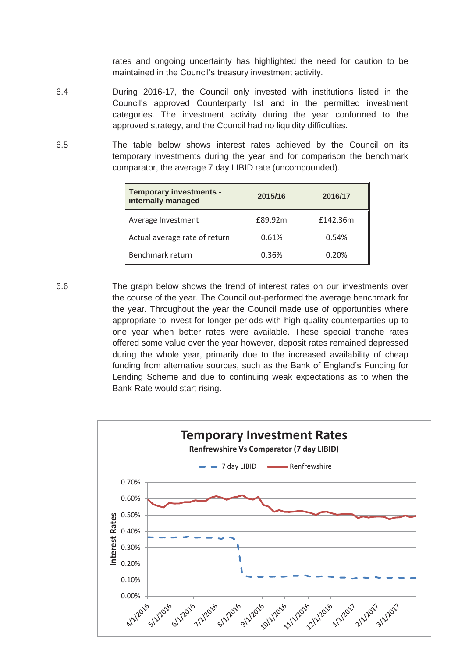rates and ongoing uncertainty has highlighted the need for caution to be maintained in the Council's treasury investment activity.

- 6.4 During 2016-17, the Council only invested with institutions listed in the Council's approved Counterparty list and in the permitted investment categories. The investment activity during the year conformed to the approved strategy, and the Council had no liquidity difficulties.
- 6.5 The table below shows interest rates achieved by the Council on its temporary investments during the year and for comparison the benchmark comparator, the average 7 day LIBID rate (uncompounded).

| Temporary investments -<br>internally managed | 2015/16 | 2016/17  |
|-----------------------------------------------|---------|----------|
| Average Investment                            | £89.92m | £142.36m |
| Actual average rate of return                 | 0.61%   | 0.54%    |
| Benchmark return                              | 0.36%   | 0.20%    |

6.6 The graph below shows the trend of interest rates on our investments over the course of the year. The Council out-performed the average benchmark for the year. Throughout the year the Council made use of opportunities where appropriate to invest for longer periods with high quality counterparties up to one year when better rates were available. These special tranche rates offered some value over the year however, deposit rates remained depressed during the whole year, primarily due to the increased availability of cheap funding from alternative sources, such as the Bank of England's Funding for Lending Scheme and due to continuing weak expectations as to when the Bank Rate would start rising.

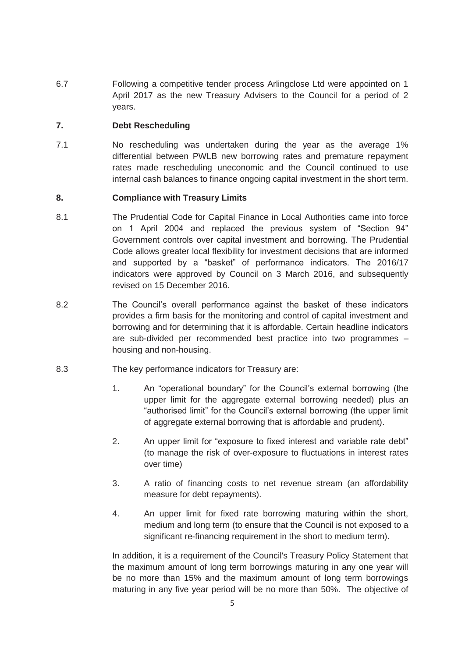6.7 Following a competitive tender process Arlingclose Ltd were appointed on 1 April 2017 as the new Treasury Advisers to the Council for a period of 2 years.

## **7. Debt Rescheduling**

7.1 No rescheduling was undertaken during the year as the average 1% differential between PWLB new borrowing rates and premature repayment rates made rescheduling uneconomic and the Council continued to use internal cash balances to finance ongoing capital investment in the short term.

## **8. Compliance with Treasury Limits**

- 8.1 The Prudential Code for Capital Finance in Local Authorities came into force on 1 April 2004 and replaced the previous system of "Section 94" Government controls over capital investment and borrowing. The Prudential Code allows greater local flexibility for investment decisions that are informed and supported by a "basket" of performance indicators. The 2016/17 indicators were approved by Council on 3 March 2016, and subsequently revised on 15 December 2016.
- 8.2 The Council's overall performance against the basket of these indicators provides a firm basis for the monitoring and control of capital investment and borrowing and for determining that it is affordable. Certain headline indicators are sub-divided per recommended best practice into two programmes – housing and non-housing.
- 8.3 The key performance indicators for Treasury are:
	- 1. An "operational boundary" for the Council's external borrowing (the upper limit for the aggregate external borrowing needed) plus an "authorised limit" for the Council's external borrowing (the upper limit of aggregate external borrowing that is affordable and prudent).
	- 2. An upper limit for "exposure to fixed interest and variable rate debt" (to manage the risk of over-exposure to fluctuations in interest rates over time)
	- 3. A ratio of financing costs to net revenue stream (an affordability measure for debt repayments).
	- 4. An upper limit for fixed rate borrowing maturing within the short, medium and long term (to ensure that the Council is not exposed to a significant re-financing requirement in the short to medium term).

 In addition, it is a requirement of the Council's Treasury Policy Statement that the maximum amount of long term borrowings maturing in any one year will be no more than 15% and the maximum amount of long term borrowings maturing in any five year period will be no more than 50%. The objective of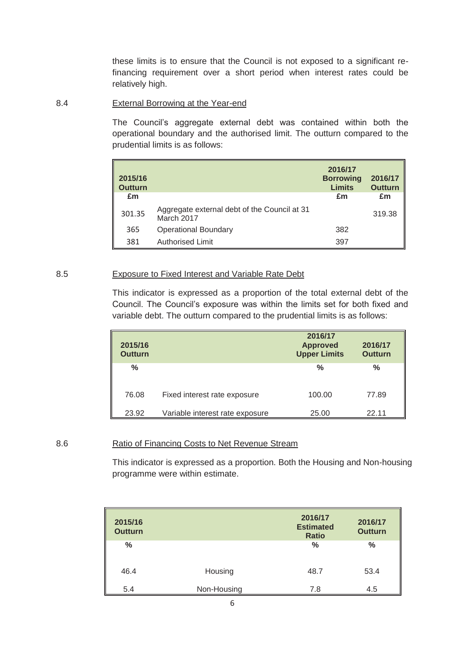these limits is to ensure that the Council is not exposed to a significant refinancing requirement over a short period when interest rates could be relatively high.

### 8.4 External Borrowing at the Year-end

The Council's aggregate external debt was contained within both the operational boundary and the authorised limit. The outturn compared to the prudential limits is as follows:

| 2015/16<br><b>Outturn</b> |                                                            | 2016/17<br><b>Borrowing</b><br><b>Limits</b> | 2016/17<br><b>Outturn</b> |
|---------------------------|------------------------------------------------------------|----------------------------------------------|---------------------------|
| £m                        |                                                            | £m                                           | £m                        |
| 301.35                    | Aggregate external debt of the Council at 31<br>March 2017 |                                              | 319.38                    |
| 365                       | <b>Operational Boundary</b>                                | 382                                          |                           |
| 381                       | <b>Authorised Limit</b>                                    | 397                                          |                           |

#### 8.5 Exposure to Fixed Interest and Variable Rate Debt

This indicator is expressed as a proportion of the total external debt of the Council. The Council's exposure was within the limits set for both fixed and variable debt. The outturn compared to the prudential limits is as follows:

| 2015/16<br><b>Outturn</b> |                                 | 2016/17<br><b>Approved</b><br><b>Upper Limits</b> | 2016/17<br><b>Outturn</b> |
|---------------------------|---------------------------------|---------------------------------------------------|---------------------------|
| ℅                         |                                 | $\frac{0}{0}$                                     | $\frac{0}{0}$             |
| 76.08                     | Fixed interest rate exposure    | 100.00                                            | 77.89                     |
| 23.92                     | Variable interest rate exposure | 25.00                                             | 22.11                     |

### 8.6 Ratio of Financing Costs to Net Revenue Stream

This indicator is expressed as a proportion. Both the Housing and Non-housing programme were within estimate.

| 2015/16<br><b>Outturn</b> |             | 2016/17<br><b>Estimated</b><br><b>Ratio</b> | 2016/17<br><b>Outturn</b> |
|---------------------------|-------------|---------------------------------------------|---------------------------|
| $\%$                      |             | $\frac{0}{0}$                               | %                         |
| 46.4                      | Housing     | 48.7                                        | 53.4                      |
| 5.4                       | Non-Housing | 7.8                                         | 4.5                       |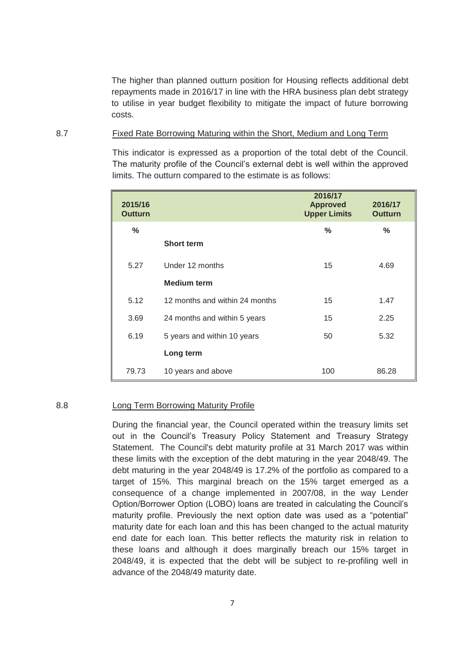The higher than planned outturn position for Housing reflects additional debt repayments made in 2016/17 in line with the HRA business plan debt strategy to utilise in year budget flexibility to mitigate the impact of future borrowing costs.

#### 8.7 Fixed Rate Borrowing Maturing within the Short, Medium and Long Term

This indicator is expressed as a proportion of the total debt of the Council. The maturity profile of the Council's external debt is well within the approved limits. The outturn compared to the estimate is as follows:

| 2015/16<br><b>Outturn</b> |                                | 2016/17<br><b>Approved</b><br><b>Upper Limits</b> | 2016/17<br><b>Outturn</b> |
|---------------------------|--------------------------------|---------------------------------------------------|---------------------------|
| ℅                         |                                | $\frac{0}{0}$                                     | $\%$                      |
|                           | <b>Short term</b>              |                                                   |                           |
| 5.27                      | Under 12 months                | 15                                                | 4.69                      |
|                           | <b>Medium term</b>             |                                                   |                           |
| 5.12                      | 12 months and within 24 months | 15                                                | 1.47                      |
| 3.69                      | 24 months and within 5 years   | 15                                                | 2.25                      |
| 6.19                      | 5 years and within 10 years    | 50                                                | 5.32                      |
|                           | Long term                      |                                                   |                           |
| 79.73                     | 10 years and above             | 100                                               | 86.28                     |

### 8.8 Long Term Borrowing Maturity Profile

 During the financial year, the Council operated within the treasury limits set out in the Council's Treasury Policy Statement and Treasury Strategy Statement. The Council's debt maturity profile at 31 March 2017 was within these limits with the exception of the debt maturing in the year 2048/49. The debt maturing in the year 2048/49 is 17.2% of the portfolio as compared to a target of 15%. This marginal breach on the 15% target emerged as a consequence of a change implemented in 2007/08, in the way Lender Option/Borrower Option (LOBO) loans are treated in calculating the Council's maturity profile. Previously the next option date was used as a "potential" maturity date for each loan and this has been changed to the actual maturity end date for each loan. This better reflects the maturity risk in relation to these loans and although it does marginally breach our 15% target in 2048/49, it is expected that the debt will be subject to re-profiling well in advance of the 2048/49 maturity date.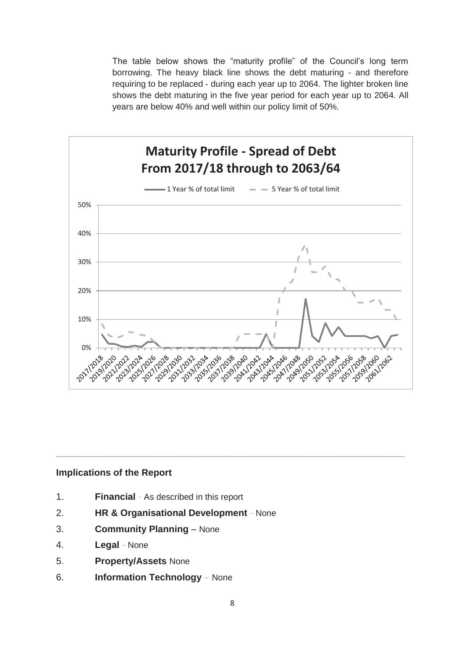The table below shows the "maturity profile" of the Council's long term borrowing. The heavy black line shows the debt maturing - and therefore requiring to be replaced - during each year up to 2064. The lighter broken line shows the debt maturing in the five year period for each year up to 2064. All years are below 40% and well within our policy limit of 50%.



### **Implications of the Report**

- 1. **Financial**As described in this report
- 2. **HR & Organisational Development**None
- 3. **Community Planning** None
- 4. **Legal**None
- 5. **Property/Assets** None
- 6. **Information Technology** *–* None

**\_\_\_\_\_\_\_\_\_\_\_\_\_\_\_\_\_\_\_\_\_\_\_\_\_\_\_\_\_\_\_\_\_\_\_\_\_\_\_\_\_\_\_\_\_\_\_\_\_\_\_\_\_\_\_\_\_\_\_\_\_\_\_\_\_\_\_**